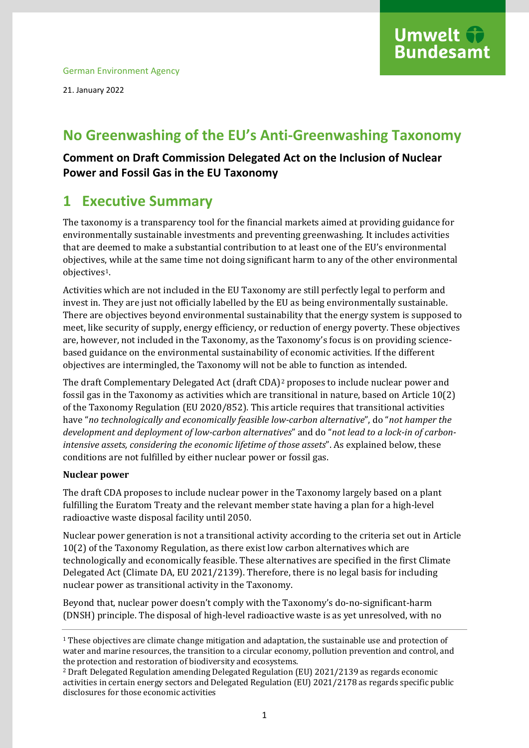

21. January 2022

# **No Greenwashing of the EU's Anti-Greenwashing Taxonomy**

## **Comment on Draft Commission Delegated Act on the Inclusion of Nuclear Power and Fossil Gas in the EU Taxonomy**

# **1 Executive Summary**

The taxonomy is a transparency tool for the financial markets aimed at providing guidance for environmentally sustainable investments and preventing greenwashing. It includes activities that are deemed to make a substantial contribution to at least one of the EU's environmental objectives, while at the same time not doing significant harm to any of the other environmental objectives[1.](#page-0-0)

Activities which are not included in the EU Taxonomy are still perfectly legal to perform and invest in. They are just not officially labelled by the EU as being environmentally sustainable. There are objectives beyond environmental sustainability that the energy system is supposed to meet, like security of supply, energy efficiency, or reduction of energy poverty. These objectives are, however, not included in the Taxonomy, as the Taxonomy's focus is on providing sciencebased guidance on the environmental sustainability of economic activities. If the different objectives are intermingled, the Taxonomy will not be able to function as intended.

The draft Complementary Delegated Act (draft CDA)[2](#page-0-1) proposes to include nuclear power and fossil gas in the Taxonomy as activities which are transitional in nature, based on Article 10(2) of the Taxonomy Regulation (EU 2020/852). This article requires that transitional activities have "*no technologically and economically feasible low-carbon alternative*", do "*not hamper the development and deployment of low-carbon alternatives*" and do "*not lead to a lock-in of carbonintensive assets, considering the economic lifetime of those assets*". As explained below, these conditions are not fulfilled by either nuclear power or fossil gas.

### **Nuclear power**

The draft CDA proposes to include nuclear power in the Taxonomy largely based on a plant fulfilling the Euratom Treaty and the relevant member state having a plan for a high-level radioactive waste disposal facility until 2050.

Nuclear power generation is not a transitional activity according to the criteria set out in Article 10(2) of the Taxonomy Regulation, as there exist low carbon alternatives which are technologically and economically feasible. These alternatives are specified in the first Climate Delegated Act (Climate DA, EU 2021/2139). Therefore, there is no legal basis for including nuclear power as transitional activity in the Taxonomy.

Beyond that, nuclear power doesn't comply with the Taxonomy's do-no-significant-harm (DNSH) principle. The disposal of high-level radioactive waste is as yet unresolved, with no

<span id="page-0-0"></span><sup>1</sup> These objectives are climate change mitigation and adaptation, the sustainable use and protection of water and marine resources, the transition to a circular economy, pollution prevention and control, and the protection and restoration of biodiversity and ecosystems.

<span id="page-0-1"></span><sup>2</sup> Draft Delegated Regulation amending Delegated Regulation (EU) 2021/2139 as regards economic activities in certain energy sectors and Delegated Regulation (EU) 2021/2178 as regards specific public disclosures for those economic activities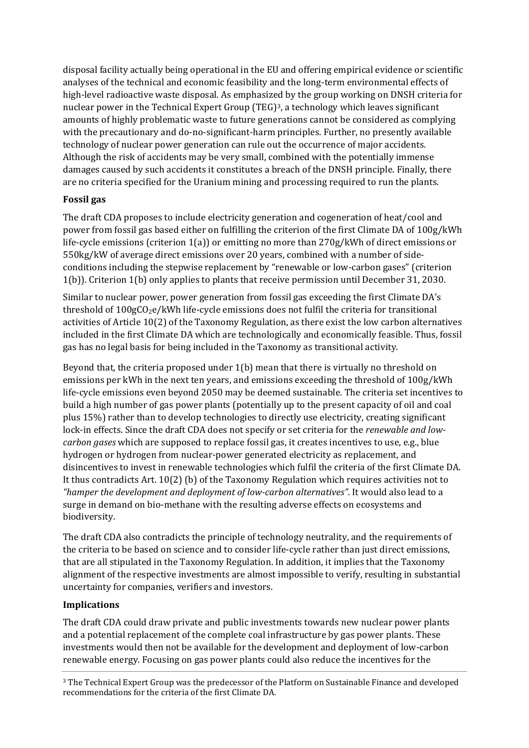disposal facility actually being operational in the EU and offering empirical evidence or scientific analyses of the technical and economic feasibility and the long-term environmental effects of high-level radioactive waste disposal. As emphasized by the group working on DNSH criteria for nuclear power in the Technical Expert Group (TEG)<sup>[3](#page-1-0)</sup>, a technology which leaves significant amounts of highly problematic waste to future generations cannot be considered as complying with the precautionary and do-no-significant-harm principles. Further, no presently available technology of nuclear power generation can rule out the occurrence of major accidents. Although the risk of accidents may be very small, combined with the potentially immense damages caused by such accidents it constitutes a breach of the DNSH principle. Finally, there are no criteria specified for the Uranium mining and processing required to run the plants.

### **Fossil gas**

The draft CDA proposes to include electricity generation and cogeneration of heat/cool and power from fossil gas based either on fulfilling the criterion of the first Climate DA of 100g/kWh life-cycle emissions (criterion 1(a)) or emitting no more than 270g/kWh of direct emissions or 550kg/kW of average direct emissions over 20 years, combined with a number of sideconditions including the stepwise replacement by "renewable or low-carbon gases" (criterion 1(b)). Criterion 1(b) only applies to plants that receive permission until December 31, 2030.

Similar to nuclear power, power generation from fossil gas exceeding the first Climate DA's threshold of  $100gC_2e/kWh$  life-cycle emissions does not fulfil the criteria for transitional activities of Article 10(2) of the Taxonomy Regulation, as there exist the low carbon alternatives included in the first Climate DA which are technologically and economically feasible. Thus, fossil gas has no legal basis for being included in the Taxonomy as transitional activity.

Beyond that, the criteria proposed under 1(b) mean that there is virtually no threshold on emissions per kWh in the next ten years, and emissions exceeding the threshold of 100g/kWh life-cycle emissions even beyond 2050 may be deemed sustainable. The criteria set incentives to build a high number of gas power plants (potentially up to the present capacity of oil and coal plus 15%) rather than to develop technologies to directly use electricity, creating significant lock-in effects. Since the draft CDA does not specify or set criteria for the *renewable and lowcarbon gases* which are supposed to replace fossil gas, it creates incentives to use, e.g., blue hydrogen or hydrogen from nuclear-power generated electricity as replacement, and disincentives to invest in renewable technologies which fulfil the criteria of the first Climate DA. It thus contradicts Art. 10(2) (b) of the Taxonomy Regulation which requires activities not to *"hamper the development and deployment of low-carbon alternatives"*. It would also lead to a surge in demand on bio-methane with the resulting adverse effects on ecosystems and biodiversity.

The draft CDA also contradicts the principle of technology neutrality, and the requirements of the criteria to be based on science and to consider life-cycle rather than just direct emissions, that are all stipulated in the Taxonomy Regulation. In addition, it implies that the Taxonomy alignment of the respective investments are almost impossible to verify, resulting in substantial uncertainty for companies, verifiers and investors.

### **Implications**

The draft CDA could draw private and public investments towards new nuclear power plants and a potential replacement of the complete coal infrastructure by gas power plants. These investments would then not be available for the development and deployment of low-carbon renewable energy. Focusing on gas power plants could also reduce the incentives for the

<span id="page-1-0"></span><sup>3</sup> The Technical Expert Group was the predecessor of the Platform on Sustainable Finance and developed recommendations for the criteria of the first Climate DA.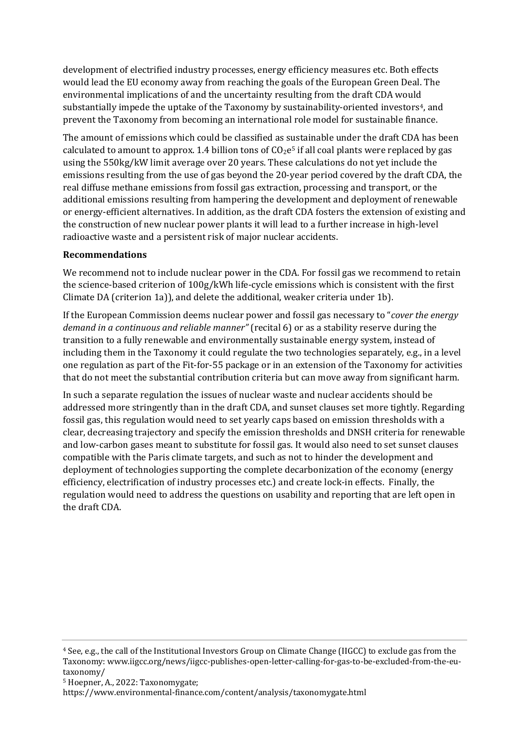development of electrified industry processes, energy efficiency measures etc. Both effects would lead the EU economy away from reaching the goals of the European Green Deal. The environmental implications of and the uncertainty resulting from the draft CDA would substantially impede the uptake of the Taxonomy by sustainability-oriented investors<sup>4</sup>, and prevent the Taxonomy from becoming an international role model for sustainable finance.

The amount of emissions which could be classified as sustainable under the draft CDA has been calculated to amount to approx. 1.4 billion tons of  $CO<sub>2</sub>e<sup>5</sup>$  $CO<sub>2</sub>e<sup>5</sup>$  $CO<sub>2</sub>e<sup>5</sup>$  if all coal plants were replaced by gas using the 550kg/kW limit average over 20 years. These calculations do not yet include the emissions resulting from the use of gas beyond the 20-year period covered by the draft CDA, the real diffuse methane emissions from fossil gas extraction, processing and transport, or the additional emissions resulting from hampering the development and deployment of renewable or energy-efficient alternatives. In addition, as the draft CDA fosters the extension of existing and the construction of new nuclear power plants it will lead to a further increase in high-level radioactive waste and a persistent risk of major nuclear accidents.

#### **Recommendations**

We recommend not to include nuclear power in the CDA. For fossil gas we recommend to retain the science-based criterion of 100g/kWh life-cycle emissions which is consistent with the first Climate DA (criterion 1a)), and delete the additional, weaker criteria under 1b).

If the European Commission deems nuclear power and fossil gas necessary to "*cover the energy demand in a continuous and reliable manner"* (recital 6) or as a stability reserve during the transition to a fully renewable and environmentally sustainable energy system, instead of including them in the Taxonomy it could regulate the two technologies separately, e.g., in a level one regulation as part of the Fit-for-55 package or in an extension of the Taxonomy for activities that do not meet the substantial contribution criteria but can move away from significant harm.

In such a separate regulation the issues of nuclear waste and nuclear accidents should be addressed more stringently than in the draft CDA, and sunset clauses set more tightly. Regarding fossil gas, this regulation would need to set yearly caps based on emission thresholds with a clear, decreasing trajectory and specify the emission thresholds and DNSH criteria for renewable and low-carbon gases meant to substitute for fossil gas. It would also need to set sunset clauses compatible with the Paris climate targets, and such as not to hinder the development and deployment of technologies supporting the complete decarbonization of the economy (energy efficiency, electrification of industry processes etc.) and create lock-in effects. Finally, the regulation would need to address the questions on usability and reporting that are left open in the draft CDA.

<span id="page-2-0"></span><sup>4</sup> See, e.g., the call of the Institutional Investors Group on Climate Change (IIGCC) to exclude gas from the Taxonomy: www.iigcc.org/news/iigcc-publishes-open-letter-calling-for-gas-to-be-excluded-from-the-eutaxonomy/

<span id="page-2-1"></span><sup>5</sup> Hoepner, A., 2022: Taxonomygate;

<https://www.environmental-finance.com/content/analysis/taxonomygate.html>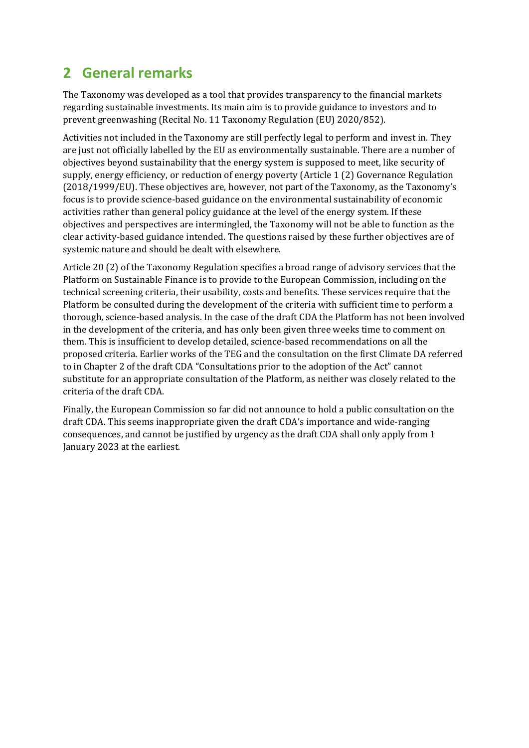# **2 General remarks**

The Taxonomy was developed as a tool that provides transparency to the financial markets regarding sustainable investments. Its main aim is to provide guidance to investors and to prevent greenwashing (Recital No. 11 Taxonomy Regulation (EU) 2020/852).

Activities not included in the Taxonomy are still perfectly legal to perform and invest in. They are just not officially labelled by the EU as environmentally sustainable. There are a number of objectives beyond sustainability that the energy system is supposed to meet, like security of supply, energy efficiency, or reduction of energy poverty (Article 1 (2) Governance Regulation (2018/1999/EU). These objectives are, however, not part of the Taxonomy, as the Taxonomy's focus is to provide science-based guidance on the environmental sustainability of economic activities rather than general policy guidance at the level of the energy system. If these objectives and perspectives are intermingled, the Taxonomy will not be able to function as the clear activity-based guidance intended. The questions raised by these further objectives are of systemic nature and should be dealt with elsewhere.

Article 20 (2) of the Taxonomy Regulation specifies a broad range of advisory services that the Platform on Sustainable Finance is to provide to the European Commission, including on the technical screening criteria, their usability, costs and benefits. These services require that the Platform be consulted during the development of the criteria with sufficient time to perform a thorough, science-based analysis. In the case of the draft CDA the Platform has not been involved in the development of the criteria, and has only been given three weeks time to comment on them. This is insufficient to develop detailed, science-based recommendations on all the proposed criteria. Earlier works of the TEG and the consultation on the first Climate DA referred to in Chapter 2 of the draft CDA "Consultations prior to the adoption of the Act" cannot substitute for an appropriate consultation of the Platform, as neither was closely related to the criteria of the draft CDA.

Finally, the European Commission so far did not announce to hold a public consultation on the draft CDA. This seems inappropriate given the draft CDA's importance and wide-ranging consequences, and cannot be justified by urgency as the draft CDA shall only apply from 1 January 2023 at the earliest.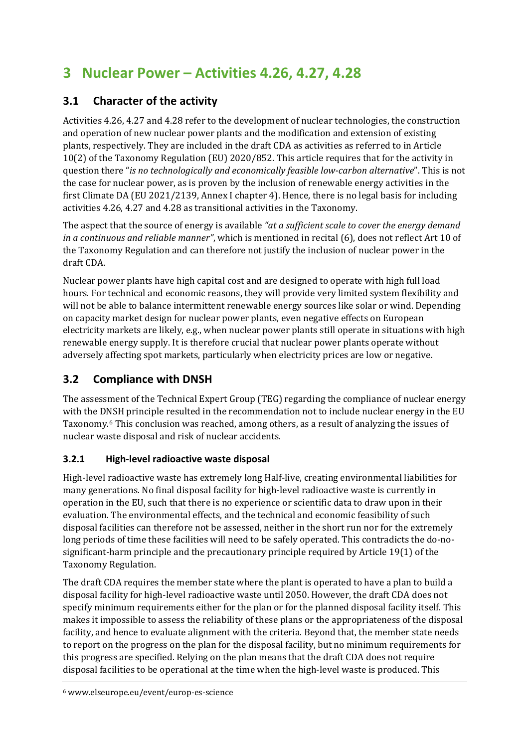# **3 Nuclear Power – Activities 4.26, 4.27, 4.28**

# **3.1 Character of the activity**

Activities 4.26, 4.27 and 4.28 refer to the development of nuclear technologies, the construction and operation of new nuclear power plants and the modification and extension of existing plants, respectively. They are included in the draft CDA as activities as referred to in Article 10(2) of the Taxonomy Regulation (EU) 2020/852. This article requires that for the activity in question there "*is no technologically and economically feasible low-carbon alternative*". This is not the case for nuclear power, as is proven by the inclusion of renewable energy activities in the first Climate DA (EU 2021/2139, Annex I chapter 4). Hence, there is no legal basis for including activities 4.26, 4.27 and 4.28 as transitional activities in the Taxonomy.

The aspect that the source of energy is available *"at a sufficient scale to cover the energy demand in a continuous and reliable manner"*, which is mentioned in recital (6), does not reflect Art 10 of the Taxonomy Regulation and can therefore not justify the inclusion of nuclear power in the draft CDA.

Nuclear power plants have high capital cost and are designed to operate with high full load hours. For technical and economic reasons, they will provide very limited system flexibility and will not be able to balance intermittent renewable energy sources like solar or wind. Depending on capacity market design for nuclear power plants, even negative effects on European electricity markets are likely, e.g., when nuclear power plants still operate in situations with high renewable energy supply. It is therefore crucial that nuclear power plants operate without adversely affecting spot markets, particularly when electricity prices are low or negative.

# **3.2 Compliance with DNSH**

The assessment of the Technical Expert Group (TEG) regarding the compliance of nuclear energy with the DNSH principle resulted in the recommendation not to include nuclear energy in the EU Taxonomy.[6](#page-4-0) This conclusion was reached, among others, as a result of analyzing the issues of nuclear waste disposal and risk of nuclear accidents.

## **3.2.1 High-level radioactive waste disposal**

High-level radioactive waste has extremely long Half-live, creating environmental liabilities for many generations. No final disposal facility for high-level radioactive waste is currently in operation in the EU, such that there is no experience or scientific data to draw upon in their evaluation. The environmental effects, and the technical and economic feasibility of such disposal facilities can therefore not be assessed, neither in the short run nor for the extremely long periods of time these facilities will need to be safely operated. This contradicts the do-nosignificant-harm principle and the precautionary principle required by Article 19(1) of the Taxonomy Regulation.

<span id="page-4-0"></span>The draft CDA requires the member state where the plant is operated to have a plan to build a disposal facility for high-level radioactive waste until 2050. However, the draft CDA does not specify minimum requirements either for the plan or for the planned disposal facility itself. This makes it impossible to assess the reliability of these plans or the appropriateness of the disposal facility, and hence to evaluate alignment with the criteria. Beyond that, the member state needs to report on the progress on the plan for the disposal facility, but no minimum requirements for this progress are specified. Relying on the plan means that the draft CDA does not require disposal facilities to be operational at the time when the high-level waste is produced. This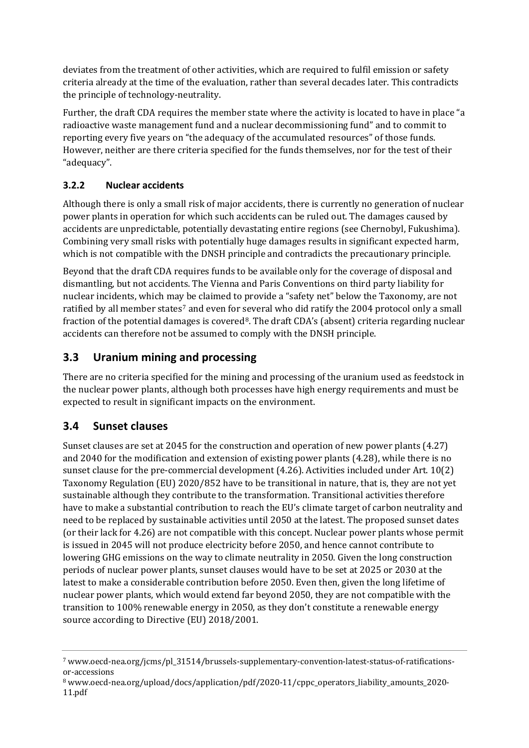deviates from the treatment of other activities, which are required to fulfil emission or safety criteria already at the time of the evaluation, rather than several decades later. This contradicts the principle of technology-neutrality.

Further, the draft CDA requires the member state where the activity is located to have in place "a radioactive waste management fund and a nuclear decommissioning fund" and to commit to reporting every five years on "the adequacy of the accumulated resources" of those funds. However, neither are there criteria specified for the funds themselves, nor for the test of their "adequacy".

### **3.2.2 Nuclear accidents**

Although there is only a small risk of major accidents, there is currently no generation of nuclear power plants in operation for which such accidents can be ruled out. The damages caused by accidents are unpredictable, potentially devastating entire regions (see Chernobyl, Fukushima). Combining very small risks with potentially huge damages results in significant expected harm, which is not compatible with the DNSH principle and contradicts the precautionary principle.

Beyond that the draft CDA requires funds to be available only for the coverage of disposal and dismantling, but not accidents. The Vienna and Paris Conventions on third party liability for nuclear incidents, which ma[y b](#page-5-0)e claimed to provide a "safety net" below the Taxonomy, are not ratified by all member states<sup>7</sup> and even for several who did ratify the 2004 protocol only a small fraction of the potential damages is covered<sup>[8](#page-5-1)</sup>. The draft CDA's (absent) criteria regarding nuclear accidents can therefore not be assumed to comply with the DNSH principle.

## **3.3 Uranium mining and processing**

There are no criteria specified for the mining and processing of the uranium used as feedstock in the nuclear power plants, although both processes have high energy requirements and must be expected to result in significant impacts on the environment.

## **3.4 Sunset clauses**

Sunset clauses are set at 2045 for the construction and operation of new power plants (4.27) and 2040 for the modification and extension of existing power plants (4.28), while there is no sunset clause for the pre-commercial development (4.26). Activities included under Art. 10(2) Taxonomy Regulation (EU) 2020/852 have to be transitional in nature, that is, they are not yet sustainable although they contribute to the transformation. Transitional activities therefore have to make a substantial contribution to reach the EU's climate target of carbon neutrality and need to be replaced by sustainable activities until 2050 at the latest. The proposed sunset dates (or their lack for 4.26) are not compatible with this concept. Nuclear power plants whose permit is issued in 2045 will not produce electricity before 2050, and hence cannot contribute to lowering GHG emissions on the way to climate neutrality in 2050. Given the long construction periods of nuclear power plants, sunset clauses would have to be set at 2025 or 2030 at the latest to make a considerable contribution before 2050. Even then, given the long lifetime of nuclear power plants, which would extend far beyond 2050, they are not compatible with the transition to 100% renewable energy in 2050, as they don't constitute a renewable energy source according to Directive (EU) 2018/2001.

<span id="page-5-0"></span><sup>7</sup> www.oecd-nea.org/jcms/pl\_31514/brussels-supplementary-convention-latest-status-of-ratificationsor-accessions

<span id="page-5-1"></span><sup>8</sup> www.oecd-nea.org/upload/docs/application/pdf/2020-11/cppc\_operators\_liability\_amounts\_2020- 11.pdf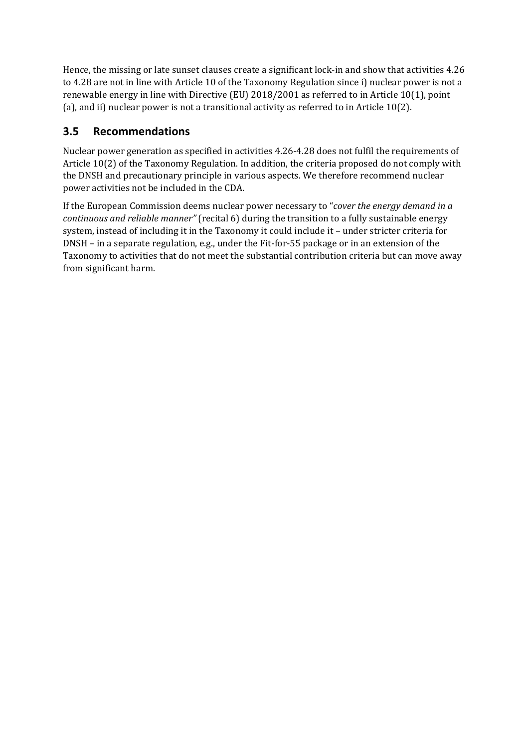Hence, the missing or late sunset clauses create a significant lock-in and show that activities 4.26 to 4.28 are not in line with Article 10 of the Taxonomy Regulation since i) nuclear power is not a renewable energy in line with Directive (EU) 2018/2001 as referred to in Article 10(1), point (a), and ii) nuclear power is not a transitional activity as referred to in Article 10(2).

## **3.5 Recommendations**

Nuclear power generation as specified in activities 4.26-4.28 does not fulfil the requirements of Article 10(2) of the Taxonomy Regulation. In addition, the criteria proposed do not comply with the DNSH and precautionary principle in various aspects. We therefore recommend nuclear power activities not be included in the CDA.

If the European Commission deems nuclear power necessary to "*cover the energy demand in a continuous and reliable manner"* (recital 6) during the transition to a fully sustainable energy system, instead of including it in the Taxonomy it could include it – under stricter criteria for DNSH – in a separate regulation, e.g., under the Fit-for-55 package or in an extension of the Taxonomy to activities that do not meet the substantial contribution criteria but can move away from significant harm.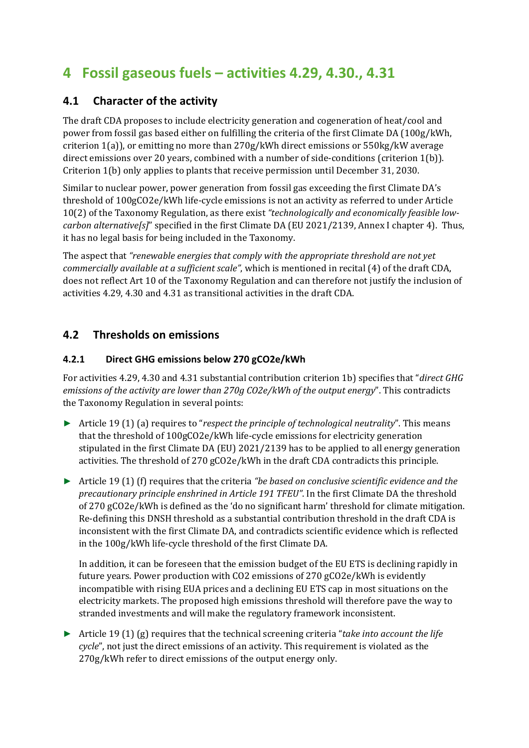# **4 Fossil gaseous fuels – activities 4.29, 4.30., 4.31**

## **4.1 Character of the activity**

The draft CDA proposes to include electricity generation and cogeneration of heat/cool and power from fossil gas based either on fulfilling the criteria of the first Climate DA (100g/kWh, criterion 1(a)), or emitting no more than 270g/kWh direct emissions or 550kg/kW average direct emissions over 20 years, combined with a number of side-conditions (criterion 1(b)). Criterion 1(b) only applies to plants that receive permission until December 31, 2030.

Similar to nuclear power, power generation from fossil gas exceeding the first Climate DA's threshold of 100gCO2e/kWh life-cycle emissions is not an activity as referred to under Article 10(2) of the Taxonomy Regulation, as there exist *"technologically and economically feasible lowcarbon alternative[s]*" specified in the first Climate DA (EU 2021/2139, Annex I chapter 4). Thus, it has no legal basis for being included in the Taxonomy.

The aspect that *"renewable energies that comply with the appropriate threshold are not yet commercially available at a sufficient scale"*, which is mentioned in recital (4) of the draft CDA, does not reflect Art 10 of the Taxonomy Regulation and can therefore not justify the inclusion of activities 4.29, 4.30 and 4.31 as transitional activities in the draft CDA.

## **4.2 Thresholds on emissions**

### **4.2.1 Direct GHG emissions below 270 gCO2e/kWh**

For activities 4.29, 4.30 and 4.31 substantial contribution criterion 1b) specifies that "*direct GHG emissions of the activity are lower than 270g CO2e/kWh of the output energy*". This contradicts the Taxonomy Regulation in several points:

- ► Article 19 (1) (a) requires to "*respect the principle of technological neutrality*". This means that the threshold of 100gCO2e/kWh life-cycle emissions for electricity generation stipulated in the first Climate DA (EU) 2021/2139 has to be applied to all energy generation activities. The threshold of 270 gCO2e/kWh in the draft CDA contradicts this principle.
- ► Article 19 (1) (f) requires that the criteria *"be based on conclusive scientific evidence and the precautionary principle enshrined in Article 191 TFEU"*. In the first Climate DA the threshold of 270 gCO2e/kWh is defined as the 'do no significant harm' threshold for climate mitigation. Re-defining this DNSH threshold as a substantial contribution threshold in the draft CDA is inconsistent with the first Climate DA, and contradicts scientific evidence which is reflected in the 100g/kWh life-cycle threshold of the first Climate DA.

In addition, it can be foreseen that the emission budget of the EU ETS is declining rapidly in future years. Power production with CO2 emissions of 270 gCO2e/kWh is evidently incompatible with rising EUA prices and a declining EU ETS cap in most situations on the electricity markets. The proposed high emissions threshold will therefore pave the way to stranded investments and will make the regulatory framework inconsistent.

► Article 19 (1) (g) requires that the technical screening criteria "*take into account the life cycle*", not just the direct emissions of an activity. This requirement is violated as the 270g/kWh refer to direct emissions of the output energy only.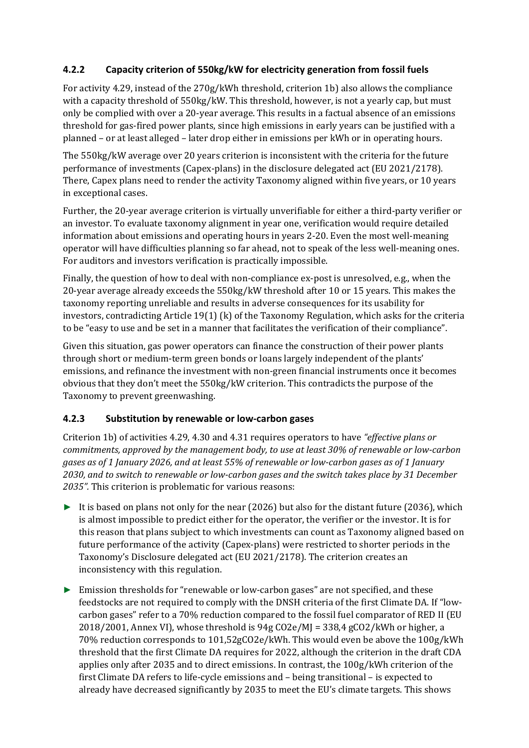### **4.2.2 Capacity criterion of 550kg/kW for electricity generation from fossil fuels**

For activity 4.29, instead of the 270g/kWh threshold, criterion 1b) also allows the compliance with a capacity threshold of 550kg/kW. This threshold, however, is not a yearly cap, but must only be complied with over a 20-year average. This results in a factual absence of an emissions threshold for gas-fired power plants, since high emissions in early years can be justified with a planned – or at least alleged – later drop either in emissions per kWh or in operating hours.

The 550kg/kW average over 20 years criterion is inconsistent with the criteria for the future performance of investments (Capex-plans) in the disclosure delegated act (EU 2021/2178). There, Capex plans need to render the activity Taxonomy aligned within five years, or 10 years in exceptional cases.

Further, the 20-year average criterion is virtually unverifiable for either a third-party verifier or an investor. To evaluate taxonomy alignment in year one, verification would require detailed information about emissions and operating hours in years 2-20. Even the most well-meaning operator will have difficulties planning so far ahead, not to speak of the less well-meaning ones. For auditors and investors verification is practically impossible.

Finally, the question of how to deal with non-compliance ex-post is unresolved, e.g., when the 20-year average already exceeds the 550kg/kW threshold after 10 or 15 years. This makes the taxonomy reporting unreliable and results in adverse consequences for its usability for investors, contradicting Article 19(1) (k) of the Taxonomy Regulation, which asks for the criteria to be "easy to use and be set in a manner that facilitates the verification of their compliance".

Given this situation, gas power operators can finance the construction of their power plants through short or medium-term green bonds or loans largely independent of the plants' emissions, and refinance the investment with non-green financial instruments once it becomes obvious that they don't meet the 550kg/kW criterion. This contradicts the purpose of the Taxonomy to prevent greenwashing.

### **4.2.3 Substitution by renewable or low-carbon gases**

Criterion 1b) of activities 4.29, 4.30 and 4.31 requires operators to have *"effective plans or commitments, approved by the management body, to use at least 30% of renewable or low-carbon gases as of 1 January 2026, and at least 55% of renewable or low-carbon gases as of 1 January 2030, and to switch to renewable or low-carbon gases and the switch takes place by 31 December 2035".* This criterion is problematic for various reasons:

- $\triangleright$  It is based on plans not only for the near (2026) but also for the distant future (2036), which is almost impossible to predict either for the operator, the verifier or the investor. It is for this reason that plans subject to which investments can count as Taxonomy aligned based on future performance of the activity (Capex-plans) were restricted to shorter periods in the Taxonomy's Disclosure delegated act (EU 2021/2178). The criterion creates an inconsistency with this regulation.
- ► Emission thresholds for "renewable or low-carbon gases" are not specified, and these feedstocks are not required to comply with the DNSH criteria of the first Climate DA. If "lowcarbon gases" refer to a 70% reduction compared to the fossil fuel comparator of RED II (EU  $2018/2001$ , Annex VI), whose threshold is  $94g \text{CO2e}/M = 338.4g \text{CO2}/kWh$  or higher, a 70% reduction corresponds to 101,52gCO2e/kWh. This would even be above the 100g/kWh threshold that the first Climate DA requires for 2022, although the criterion in the draft CDA applies only after 2035 and to direct emissions. In contrast, the 100g/kWh criterion of the first Climate DA refers to life-cycle emissions and – being transitional – is expected to already have decreased significantly by 2035 to meet the EU's climate targets. This shows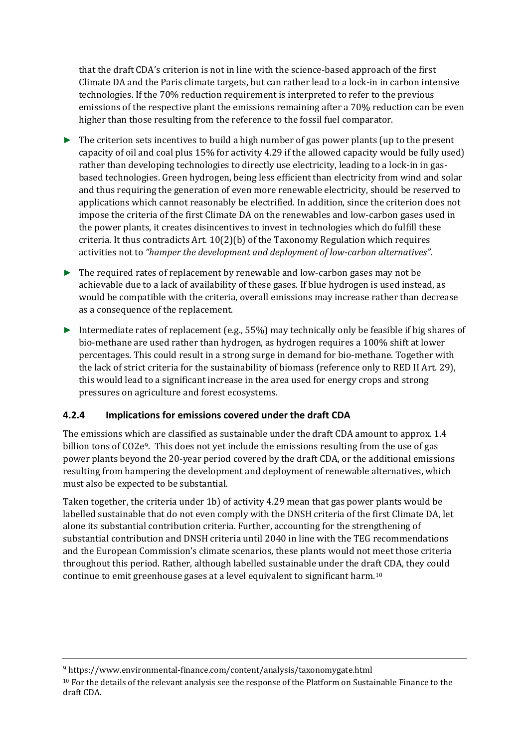that the draft CDA's criterion is not in line with the science-based approach of the first Climate DA and the Paris climate targets, but can rather lead to a lock-in in carbon intensive technologies. If the 70% reduction requirement is interpreted to refer to the previous emissions of the respective plant the emissions remaining after a 70% reduction can be even higher than those resulting from the reference to the fossil fuel comparator.

- $\triangleright$  The criterion sets incentives to build a high number of gas power plants (up to the present capacity of oil and coal plus 15% for activity 4.29 if the allowed capacity would be fully used) rather than developing technologies to directly use electricity, leading to a lock-in in gasbased technologies. Green hydrogen, being less efficient than electricity from wind and solar and thus requiring the generation of even more renewable electricity, should be reserved to applications which cannot reasonably be electrified. In addition, since the criterion does not impose the criteria of the first Climate DA on the renewables and low-carbon gases used in the power plants, it creates disincentives to invest in technologies which do fulfill these criteria. It thus contradicts Art.  $10(2)(b)$  of the Taxonomy Regulation which requires activities not to *"hamper the development and deployment of low-carbon alternatives"*.
- ► The required rates of replacement by renewable and low-carbon gases may not be achievable due to a lack of availability of these gases. If blue hydrogen is used instead, as would be compatible with the criteria, overall emissions may increase rather than decrease as a consequence of the replacement.
- ► Intermediate rates of replacement (e.g., 55%) may technically only be feasible if big shares of bio-methane are used rather than hydrogen, as hydrogen requires a 100% shift at lower percentages. This could result in a strong surge in demand for bio-methane. Together with the lack of strict criteria for the sustainability of biomass (reference only to RED II Art. 29), this would lead to a significant increase in the area used for energy crops and strong pressures on agriculture and forest ecosystems.

### **4.2.4 Implications for emissions covered under the draft CDA**

The emissions which are classified as sustainable under the draft CDA amount to approx. 1.4 billion tons of CO2e[9](#page-9-0). This does not yet include the emissions resulting from the use of gas power plants beyond the 20-year period covered by the draft CDA, or the additional emissions resulting from hampering the development and deployment of renewable alternatives, which must also be expected to be substantial.

Taken together, the criteria under 1b) of activity 4.29 mean that gas power plants would be labelled sustainable that do not even comply with the DNSH criteria of the first Climate DA, let alone its substantial contribution criteria. Further, accounting for the strengthening of substantial contribution and DNSH criteria until 2040 in line with the TEG recommendations and the European Commission's climate scenarios, these plants would not meet those criteria throughout this period. Rather, although labelled sustainable under the dra[ft](#page-9-1) CDA, they could continue to emit greenhouse gases at a level equivalent to significant harm.10

<span id="page-9-1"></span><span id="page-9-0"></span><sup>9</sup> <https://www.environmental-finance.com/content/analysis/taxonomygate.html> <sup>10</sup> For the details of the relevant analysis see the response of the Platform on Sustainable Finance to the draft CDA.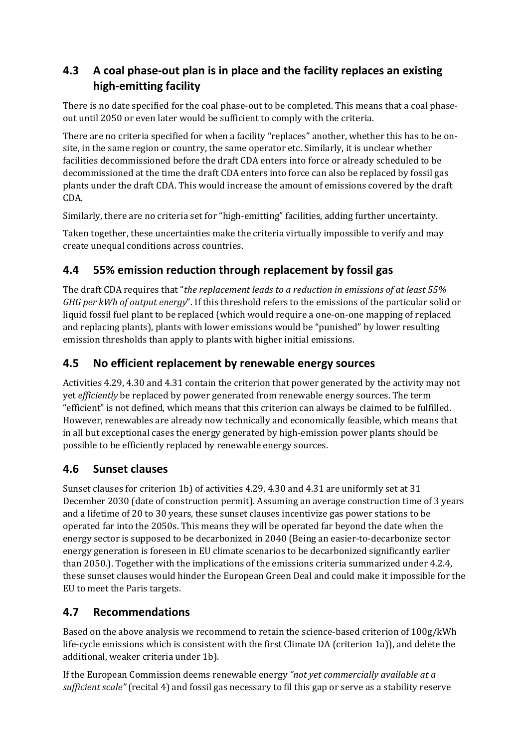# **4.3 A coal phase-out plan is in place and the facility replaces an existing high-emitting facility**

There is no date specified for the coal phase-out to be completed. This means that a coal phaseout until 2050 or even later would be sufficient to comply with the criteria.

There are no criteria specified for when a facility "replaces" another, whether this has to be onsite, in the same region or country, the same operator etc. Similarly, it is unclear whether facilities decommissioned before the draft CDA enters into force or already scheduled to be decommissioned at the time the draft CDA enters into force can also be replaced by fossil gas plants under the draft CDA. This would increase the amount of emissions covered by the draft CDA.

Similarly, there are no criteria set for "high-emitting" facilities, adding further uncertainty.

Taken together, these uncertainties make the criteria virtually impossible to verify and may create unequal conditions across countries.

## **4.4 55% emission reduction through replacement by fossil gas**

The draft CDA requires that "*the replacement leads to a reduction in emissions of at least 55% GHG per kWh of output energy*". If this threshold refers to the emissions of the particular solid or liquid fossil fuel plant to be replaced (which would require a one-on-one mapping of replaced and replacing plants), plants with lower emissions would be "punished" by lower resulting emission thresholds than apply to plants with higher initial emissions.

## **4.5 No efficient replacement by renewable energy sources**

Activities 4.29, 4.30 and 4.31 contain the criterion that power generated by the activity may not yet *efficiently* be replaced by power generated from renewable energy sources. The term "efficient" is not defined, which means that this criterion can always be claimed to be fulfilled. However, renewables are already now technically and economically feasible, which means that in all but exceptional cases the energy generated by high-emission power plants should be possible to be efficiently replaced by renewable energy sources.

## **4.6 Sunset clauses**

Sunset clauses for criterion 1b) of activities 4.29, 4.30 and 4.31 are uniformly set at 31 December 2030 (date of construction permit). Assuming an average construction time of 3 years and a lifetime of 20 to 30 years, these sunset clauses incentivize gas power stations to be operated far into the 2050s. This means they will be operated far beyond the date when the energy sector is supposed to be decarbonized in 2040 (Being an easier-to-decarbonize sector energy generation is foreseen in EU climate scenarios to be decarbonized significantly earlier than 2050.). Together with the implications of the emissions criteria summarized under 4.2.4, these sunset clauses would hinder the European Green Deal and could make it impossible for the EU to meet the Paris targets.

## **4.7 Recommendations**

Based on the above analysis we recommend to retain the science-based criterion of 100g/kWh life-cycle emissions which is consistent with the first Climate DA (criterion 1a)), and delete the additional, weaker criteria under 1b).

If the European Commission deems renewable energy *"not yet commercially available at a sufficient scale"* (recital 4) and fossil gas necessary to fil this gap or serve as a stability reserve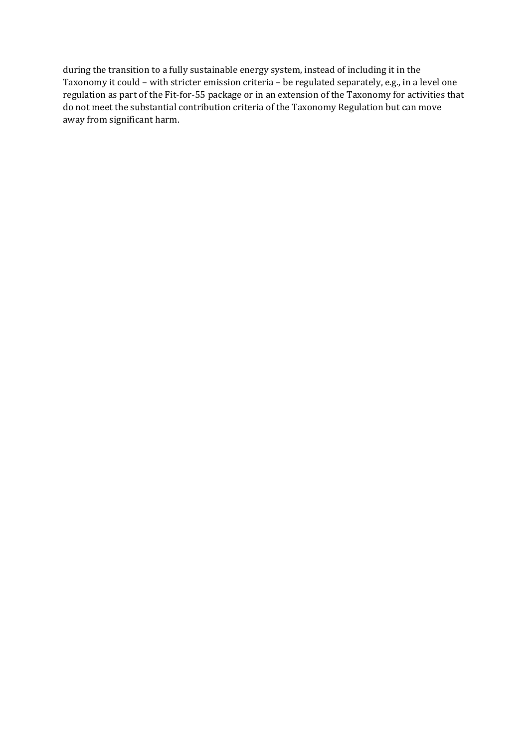during the transition to a fully sustainable energy system, instead of including it in the Taxonomy it could – with stricter emission criteria – be regulated separately, e.g., in a level one regulation as part of the Fit-for-55 package or in an extension of the Taxonomy for activities that do not meet the substantial contribution criteria of the Taxonomy Regulation but can move away from significant harm.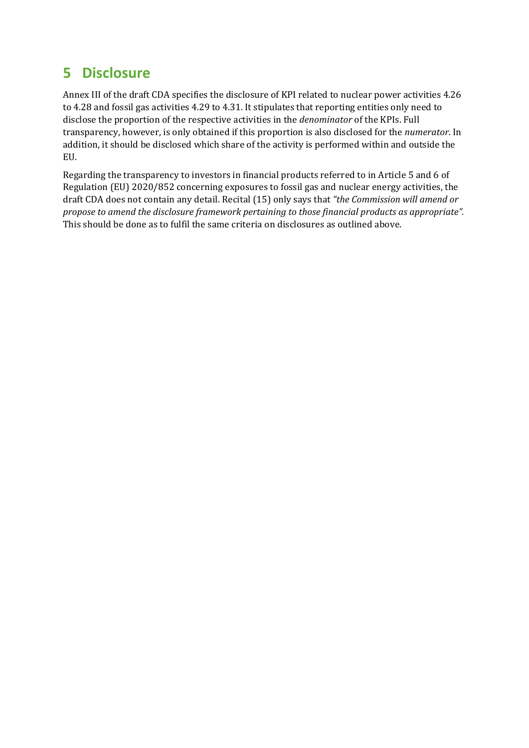# **5 Disclosure**

Annex III of the draft CDA specifies the disclosure of KPI related to nuclear power activities 4.26 to 4.28 and fossil gas activities 4.29 to 4.31. It stipulates that reporting entities only need to disclose the proportion of the respective activities in the *denominator* of the KPIs. Full transparency, however, is only obtained if this proportion is also disclosed for the *numerator*. In addition, it should be disclosed which share of the activity is performed within and outside the EU.

Regarding the transparency to investors in financial products referred to in Article 5 and 6 of Regulation (EU) 2020/852 concerning exposures to fossil gas and nuclear energy activities, the draft CDA does not contain any detail. Recital (15) only says that *"the Commission will amend or propose to amend the disclosure framework pertaining to those financial products as appropriate".* This should be done as to fulfil the same criteria on disclosures as outlined above.